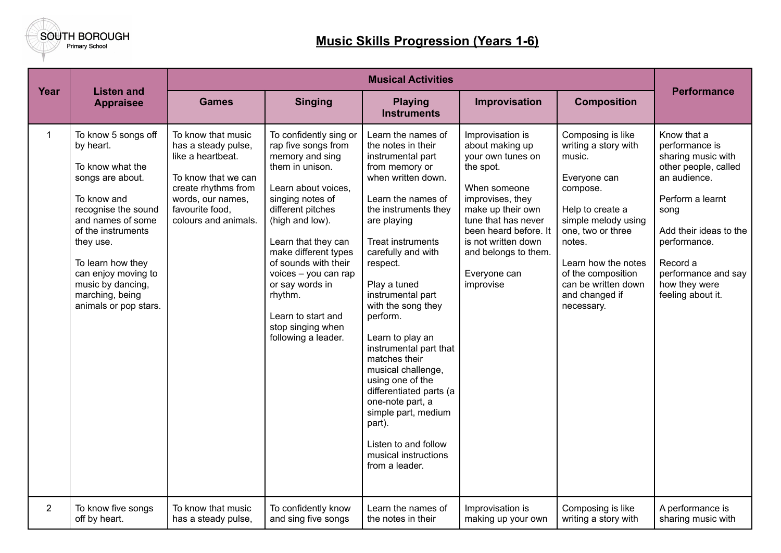

## **Music Skills Progression (Years 1-6)**

|              |                                                                                                                                                                                                                                                                                     |                                                                                                                                                                              | <b>Musical Activities</b>                                                                                                                                                                                                                                                                                                                                             |                                                                                                                                                                                                                                                                                                                                                                                                                                                                                                                                                                    |                                                                                                                                                                                                                                                            |                                                                                                                                                                                                                                                               |                                                                                                                                                                                                                                            |
|--------------|-------------------------------------------------------------------------------------------------------------------------------------------------------------------------------------------------------------------------------------------------------------------------------------|------------------------------------------------------------------------------------------------------------------------------------------------------------------------------|-----------------------------------------------------------------------------------------------------------------------------------------------------------------------------------------------------------------------------------------------------------------------------------------------------------------------------------------------------------------------|--------------------------------------------------------------------------------------------------------------------------------------------------------------------------------------------------------------------------------------------------------------------------------------------------------------------------------------------------------------------------------------------------------------------------------------------------------------------------------------------------------------------------------------------------------------------|------------------------------------------------------------------------------------------------------------------------------------------------------------------------------------------------------------------------------------------------------------|---------------------------------------------------------------------------------------------------------------------------------------------------------------------------------------------------------------------------------------------------------------|--------------------------------------------------------------------------------------------------------------------------------------------------------------------------------------------------------------------------------------------|
| Year         | <b>Listen and</b><br><b>Appraisee</b>                                                                                                                                                                                                                                               | <b>Games</b>                                                                                                                                                                 | <b>Singing</b>                                                                                                                                                                                                                                                                                                                                                        | <b>Playing</b><br><b>Instruments</b>                                                                                                                                                                                                                                                                                                                                                                                                                                                                                                                               | Improvisation                                                                                                                                                                                                                                              | <b>Composition</b>                                                                                                                                                                                                                                            | <b>Performance</b>                                                                                                                                                                                                                         |
| $\mathbf{1}$ | To know 5 songs off<br>by heart.<br>To know what the<br>songs are about.<br>To know and<br>recognise the sound<br>and names of some<br>of the instruments<br>they use.<br>To learn how they<br>can enjoy moving to<br>music by dancing,<br>marching, being<br>animals or pop stars. | To know that music<br>has a steady pulse,<br>like a heartbeat.<br>To know that we can<br>create rhythms from<br>words, our names,<br>favourite food,<br>colours and animals. | To confidently sing or<br>rap five songs from<br>memory and sing<br>them in unison.<br>Learn about voices,<br>singing notes of<br>different pitches<br>(high and low).<br>Learn that they can<br>make different types<br>of sounds with their<br>voices - you can rap<br>or say words in<br>rhythm.<br>Learn to start and<br>stop singing when<br>following a leader. | Learn the names of<br>the notes in their<br>instrumental part<br>from memory or<br>when written down.<br>Learn the names of<br>the instruments they<br>are playing<br><b>Treat instruments</b><br>carefully and with<br>respect.<br>Play a tuned<br>instrumental part<br>with the song they<br>perform.<br>Learn to play an<br>instrumental part that<br>matches their<br>musical challenge,<br>using one of the<br>differentiated parts (a<br>one-note part, a<br>simple part, medium<br>part).<br>Listen to and follow<br>musical instructions<br>from a leader. | Improvisation is<br>about making up<br>your own tunes on<br>the spot.<br>When someone<br>improvises, they<br>make up their own<br>tune that has never<br>been heard before. It<br>is not written down<br>and belongs to them.<br>Everyone can<br>improvise | Composing is like<br>writing a story with<br>music.<br>Everyone can<br>compose.<br>Help to create a<br>simple melody using<br>one, two or three<br>notes.<br>Learn how the notes<br>of the composition<br>can be written down<br>and changed if<br>necessary. | Know that a<br>performance is<br>sharing music with<br>other people, called<br>an audience.<br>Perform a learnt<br>song<br>Add their ideas to the<br>performance.<br>Record a<br>performance and say<br>how they were<br>feeling about it. |
| $2^{\circ}$  | To know five songs<br>off by heart.                                                                                                                                                                                                                                                 | To know that music<br>has a steady pulse,                                                                                                                                    | To confidently know<br>and sing five songs                                                                                                                                                                                                                                                                                                                            | Learn the names of<br>the notes in their                                                                                                                                                                                                                                                                                                                                                                                                                                                                                                                           | Improvisation is<br>making up your own                                                                                                                                                                                                                     | Composing is like<br>writing a story with                                                                                                                                                                                                                     | A performance is<br>sharing music with                                                                                                                                                                                                     |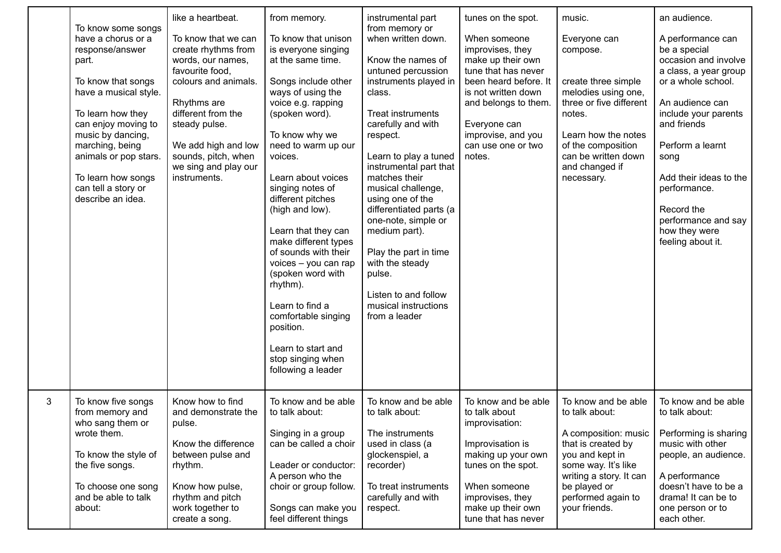|   | To know some songs<br>have a chorus or a<br>response/answer<br>part.<br>To know that songs<br>have a musical style.<br>To learn how they<br>can enjoy moving to<br>music by dancing,<br>marching, being<br>animals or pop stars.<br>To learn how songs<br>can tell a story or<br>describe an idea. | like a heartbeat.<br>To know that we can<br>create rhythms from<br>words, our names,<br>favourite food,<br>colours and animals.<br>Rhythms are<br>different from the<br>steady pulse.<br>We add high and low<br>sounds, pitch, when<br>we sing and play our<br>instruments. | from memory.<br>To know that unison<br>is everyone singing<br>at the same time.<br>Songs include other<br>ways of using the<br>voice e.g. rapping<br>(spoken word).<br>To know why we<br>need to warm up our<br>voices.<br>Learn about voices<br>singing notes of<br>different pitches<br>(high and low).<br>Learn that they can<br>make different types<br>of sounds with their<br>voices - you can rap<br>(spoken word with<br>rhythm).<br>Learn to find a<br>comfortable singing<br>position.<br>Learn to start and<br>stop singing when<br>following a leader | instrumental part<br>from memory or<br>when written down.<br>Know the names of<br>untuned percussion<br>instruments played in<br>class.<br>Treat instruments<br>carefully and with<br>respect.<br>Learn to play a tuned<br>instrumental part that<br>matches their<br>musical challenge,<br>using one of the<br>differentiated parts (a<br>one-note, simple or<br>medium part).<br>Play the part in time<br>with the steady<br>pulse.<br>Listen to and follow<br>musical instructions<br>from a leader | tunes on the spot.<br>When someone<br>improvises, they<br>make up their own<br>tune that has never<br>been heard before. It<br>is not written down<br>and belongs to them.<br>Everyone can<br>improvise, and you<br>can use one or two<br>notes. | music.<br>Everyone can<br>compose.<br>create three simple<br>melodies using one,<br>three or five different<br>notes.<br>Learn how the notes<br>of the composition<br>can be written down<br>and changed if<br>necessary. | an audience.<br>A performance can<br>be a special<br>occasion and involve<br>a class, a year group<br>or a whole school.<br>An audience can<br>include your parents<br>and friends<br>Perform a learnt<br>song<br>Add their ideas to the<br>performance.<br>Record the<br>performance and say<br>how they were<br>feeling about it. |
|---|----------------------------------------------------------------------------------------------------------------------------------------------------------------------------------------------------------------------------------------------------------------------------------------------------|-----------------------------------------------------------------------------------------------------------------------------------------------------------------------------------------------------------------------------------------------------------------------------|-------------------------------------------------------------------------------------------------------------------------------------------------------------------------------------------------------------------------------------------------------------------------------------------------------------------------------------------------------------------------------------------------------------------------------------------------------------------------------------------------------------------------------------------------------------------|--------------------------------------------------------------------------------------------------------------------------------------------------------------------------------------------------------------------------------------------------------------------------------------------------------------------------------------------------------------------------------------------------------------------------------------------------------------------------------------------------------|--------------------------------------------------------------------------------------------------------------------------------------------------------------------------------------------------------------------------------------------------|---------------------------------------------------------------------------------------------------------------------------------------------------------------------------------------------------------------------------|-------------------------------------------------------------------------------------------------------------------------------------------------------------------------------------------------------------------------------------------------------------------------------------------------------------------------------------|
| 3 | To know five songs<br>from memory and<br>who sang them or<br>wrote them.<br>To know the style of<br>the five songs.<br>To choose one song<br>and be able to talk<br>about:                                                                                                                         | Know how to find<br>and demonstrate the<br>pulse.<br>Know the difference<br>between pulse and<br>rhythm.<br>Know how pulse,<br>rhythm and pitch<br>work together to<br>create a song.                                                                                       | To know and be able<br>to talk about:<br>Singing in a group<br>can be called a choir<br>Leader or conductor:<br>A person who the<br>choir or group follow.<br>Songs can make you<br>feel different things                                                                                                                                                                                                                                                                                                                                                         | To know and be able<br>to talk about:<br>The instruments<br>used in class (a<br>glockenspiel, a<br>recorder)<br>To treat instruments<br>carefully and with<br>respect.                                                                                                                                                                                                                                                                                                                                 | To know and be able<br>to talk about<br>improvisation:<br>Improvisation is<br>making up your own<br>tunes on the spot.<br>When someone<br>improvises, they<br>make up their own<br>tune that has never                                           | To know and be able<br>to talk about:<br>A composition: music<br>that is created by<br>you and kept in<br>some way. It's like<br>writing a story. It can<br>be played or<br>performed again to<br>your friends.           | To know and be able<br>to talk about:<br>Performing is sharing<br>music with other<br>people, an audience.<br>A performance<br>doesn't have to be a<br>drama! It can be to<br>one person or to<br>each other.                                                                                                                       |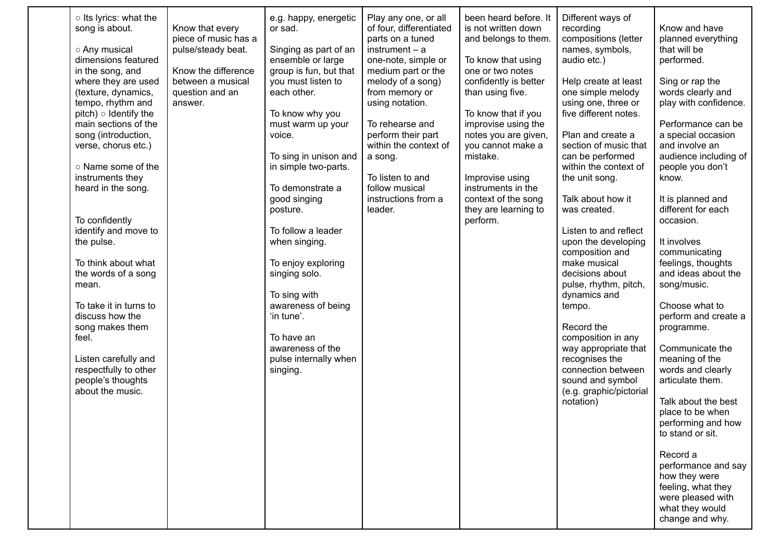| o Its lyrics: what the<br>song is about.<br>○ Any musical<br>dimensions featured<br>in the song, and<br>where they are used<br>(texture, dynamics,<br>tempo, rhythm and<br>$pitch) \circ$ Identify the<br>main sections of the<br>song (introduction,<br>verse, chorus etc.)<br>o Name some of the<br>instruments they<br>heard in the song.<br>To confidently<br>identify and move to<br>the pulse.<br>To think about what<br>the words of a song<br>mean.<br>To take it in turns to<br>discuss how the<br>song makes them<br>feel.<br>Listen carefully and<br>respectfully to other<br>people's thoughts<br>about the music. | Know that every<br>piece of music has a<br>pulse/steady beat.<br>Know the difference<br>between a musical<br>question and an<br>answer. | e.g. happy, energetic<br>or sad.<br>Singing as part of an<br>ensemble or large<br>group is fun, but that<br>you must listen to<br>each other.<br>To know why you<br>must warm up your<br>voice.<br>To sing in unison and<br>in simple two-parts.<br>To demonstrate a<br>good singing<br>posture.<br>To follow a leader<br>when singing.<br>To enjoy exploring<br>singing solo.<br>To sing with<br>awareness of being<br>'in tune'.<br>To have an<br>awareness of the<br>pulse internally when<br>singing. | Play any one, or all<br>of four, differentiated<br>parts on a tuned<br>$instrument - a$<br>one-note, simple or<br>medium part or the<br>melody of a song)<br>from memory or<br>using notation.<br>To rehearse and<br>perform their part<br>within the context of<br>a song.<br>To listen to and<br>follow musical<br>instructions from a<br>leader. | been heard before. It<br>is not written down<br>and belongs to them.<br>To know that using<br>one or two notes<br>confidently is better<br>than using five.<br>To know that if you<br>improvise using the<br>notes you are given,<br>you cannot make a<br>mistake.<br>Improvise using<br>instruments in the<br>context of the song<br>they are learning to<br>perform. | Different ways of<br>recording<br>compositions (letter<br>names, symbols,<br>audio etc.)<br>Help create at least<br>one simple melody<br>using one, three or<br>five different notes.<br>Plan and create a<br>section of music that<br>can be performed<br>within the context of<br>the unit song.<br>Talk about how it<br>was created.<br>Listen to and reflect<br>upon the developing<br>composition and<br>make musical<br>decisions about<br>pulse, rhythm, pitch,<br>dynamics and<br>tempo.<br>Record the<br>composition in any<br>way appropriate that<br>recognises the<br>connection between<br>sound and symbol<br>(e.g. graphic/pictorial<br>notation) | Know and have<br>planned everything<br>that will be<br>performed.<br>Sing or rap the<br>words clearly and<br>play with confidence.<br>Performance can be<br>a special occasion<br>and involve an<br>audience including of<br>people you don't<br>know.<br>It is planned and<br>different for each<br>occasion.<br>It involves<br>communicating<br>feelings, thoughts<br>and ideas about the<br>song/music.<br>Choose what to<br>perform and create a<br>programme.<br>Communicate the<br>meaning of the<br>words and clearly<br>articulate them.<br>Talk about the best<br>place to be when<br>performing and how<br>to stand or sit.<br>Record a<br>performance and say<br>how they were<br>feeling, what they<br>were pleased with<br>what they would<br>change and why. |
|--------------------------------------------------------------------------------------------------------------------------------------------------------------------------------------------------------------------------------------------------------------------------------------------------------------------------------------------------------------------------------------------------------------------------------------------------------------------------------------------------------------------------------------------------------------------------------------------------------------------------------|-----------------------------------------------------------------------------------------------------------------------------------------|-----------------------------------------------------------------------------------------------------------------------------------------------------------------------------------------------------------------------------------------------------------------------------------------------------------------------------------------------------------------------------------------------------------------------------------------------------------------------------------------------------------|-----------------------------------------------------------------------------------------------------------------------------------------------------------------------------------------------------------------------------------------------------------------------------------------------------------------------------------------------------|------------------------------------------------------------------------------------------------------------------------------------------------------------------------------------------------------------------------------------------------------------------------------------------------------------------------------------------------------------------------|------------------------------------------------------------------------------------------------------------------------------------------------------------------------------------------------------------------------------------------------------------------------------------------------------------------------------------------------------------------------------------------------------------------------------------------------------------------------------------------------------------------------------------------------------------------------------------------------------------------------------------------------------------------|----------------------------------------------------------------------------------------------------------------------------------------------------------------------------------------------------------------------------------------------------------------------------------------------------------------------------------------------------------------------------------------------------------------------------------------------------------------------------------------------------------------------------------------------------------------------------------------------------------------------------------------------------------------------------------------------------------------------------------------------------------------------------|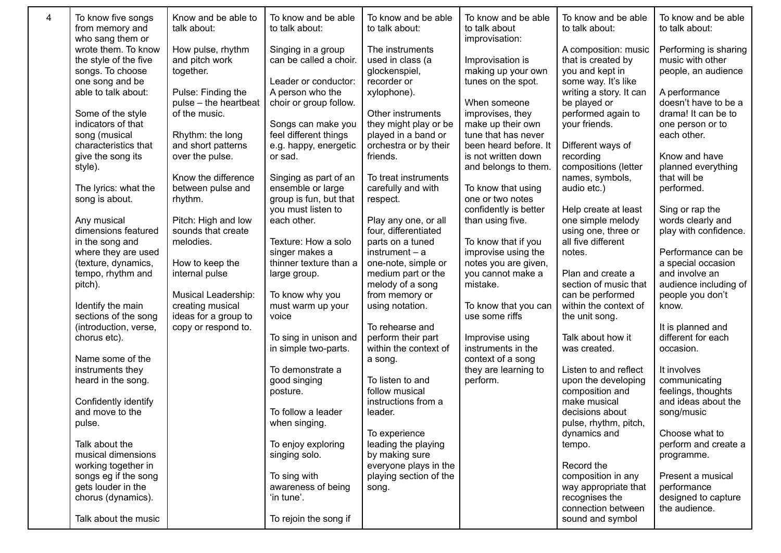| 4 | To know five songs<br>from memory and                                                                                                                                                                                                                                      | Know and be able to<br>talk about:                                                                                                                                                                                        | To know and be able<br>to talk about:                                                                                                                                                                                                               | To know and be able<br>to talk about:                                                                                                                                                                                                      | To know and be able<br>to talk about                                                                                                                                                                                                                         | To know and be able<br>to talk about:                                                                                                                                                                                                                              | To know and be able<br>to talk about:                                                                                                                                                                                                    |
|---|----------------------------------------------------------------------------------------------------------------------------------------------------------------------------------------------------------------------------------------------------------------------------|---------------------------------------------------------------------------------------------------------------------------------------------------------------------------------------------------------------------------|-----------------------------------------------------------------------------------------------------------------------------------------------------------------------------------------------------------------------------------------------------|--------------------------------------------------------------------------------------------------------------------------------------------------------------------------------------------------------------------------------------------|--------------------------------------------------------------------------------------------------------------------------------------------------------------------------------------------------------------------------------------------------------------|--------------------------------------------------------------------------------------------------------------------------------------------------------------------------------------------------------------------------------------------------------------------|------------------------------------------------------------------------------------------------------------------------------------------------------------------------------------------------------------------------------------------|
|   | who sang them or<br>wrote them. To know<br>the style of the five<br>songs. To choose<br>one song and be<br>able to talk about:<br>Some of the style<br>indicators of that<br>song (musical<br>characteristics that<br>give the song its<br>style).<br>The lyrics: what the | How pulse, rhythm<br>and pitch work<br>together.<br>Pulse: Finding the<br>pulse - the heartbeat<br>of the music.<br>Rhythm: the long<br>and short patterns<br>over the pulse.<br>Know the difference<br>between pulse and | Singing in a group<br>can be called a choir.<br>Leader or conductor:<br>A person who the<br>choir or group follow.<br>Songs can make you<br>feel different things<br>e.g. happy, energetic<br>or sad.<br>Singing as part of an<br>ensemble or large | The instruments<br>used in class (a<br>glockenspiel,<br>recorder or<br>xylophone).<br>Other instruments<br>they might play or be<br>played in a band or<br>orchestra or by their<br>friends.<br>To treat instruments<br>carefully and with | improvisation:<br>Improvisation is<br>making up your own<br>tunes on the spot.<br>When someone<br>improvises, they<br>make up their own<br>tune that has never<br>been heard before. It<br>is not written down<br>and belongs to them.<br>To know that using | A composition: music<br>that is created by<br>you and kept in<br>some way. It's like<br>writing a story. It can<br>be played or<br>performed again to<br>your friends.<br>Different ways of<br>recording<br>compositions (letter<br>names, symbols,<br>audio etc.) | Performing is sharing<br>music with other<br>people, an audience<br>A performance<br>doesn't have to be a<br>drama! It can be to<br>one person or to<br>each other.<br>Know and have<br>planned everything<br>that will be<br>performed. |
|   | song is about.<br>Any musical                                                                                                                                                                                                                                              | rhythm.<br>Pitch: High and low                                                                                                                                                                                            | group is fun, but that<br>you must listen to<br>each other.                                                                                                                                                                                         | respect.<br>Play any one, or all                                                                                                                                                                                                           | one or two notes<br>confidently is better<br>than using five.                                                                                                                                                                                                | Help create at least<br>one simple melody                                                                                                                                                                                                                          | Sing or rap the<br>words clearly and                                                                                                                                                                                                     |
|   | dimensions featured<br>in the song and<br>where they are used                                                                                                                                                                                                              | sounds that create<br>melodies.                                                                                                                                                                                           | Texture: How a solo<br>singer makes a                                                                                                                                                                                                               | four, differentiated<br>parts on a tuned<br>$instrument - a$                                                                                                                                                                               | To know that if you<br>improvise using the                                                                                                                                                                                                                   | using one, three or<br>all five different<br>notes.                                                                                                                                                                                                                | play with confidence.<br>Performance can be                                                                                                                                                                                              |
|   | (texture, dynamics,<br>tempo, rhythm and<br>pitch).                                                                                                                                                                                                                        | How to keep the<br>internal pulse                                                                                                                                                                                         | thinner texture than a<br>large group.                                                                                                                                                                                                              | one-note, simple or<br>medium part or the<br>melody of a song                                                                                                                                                                              | notes you are given,<br>you cannot make a<br>mistake.                                                                                                                                                                                                        | Plan and create a<br>section of music that                                                                                                                                                                                                                         | a special occasion<br>and involve an<br>audience including of                                                                                                                                                                            |
|   | Identify the main<br>sections of the song                                                                                                                                                                                                                                  | Musical Leadership:<br>creating musical<br>ideas for a group to                                                                                                                                                           | To know why you<br>must warm up your<br>voice                                                                                                                                                                                                       | from memory or<br>using notation.                                                                                                                                                                                                          | To know that you can<br>use some riffs                                                                                                                                                                                                                       | can be performed<br>within the context of<br>the unit song.                                                                                                                                                                                                        | people you don't<br>know.                                                                                                                                                                                                                |
|   | (introduction, verse,<br>chorus etc).                                                                                                                                                                                                                                      | copy or respond to.                                                                                                                                                                                                       | To sing in unison and<br>in simple two-parts.                                                                                                                                                                                                       | To rehearse and<br>perform their part<br>within the context of                                                                                                                                                                             | Improvise using<br>instruments in the                                                                                                                                                                                                                        | Talk about how it<br>was created.                                                                                                                                                                                                                                  | It is planned and<br>different for each<br>occasion.                                                                                                                                                                                     |
|   | Name some of the<br>instruments they<br>heard in the song.                                                                                                                                                                                                                 |                                                                                                                                                                                                                           | To demonstrate a<br>good singing<br>posture.                                                                                                                                                                                                        | a song.<br>To listen to and<br>follow musical                                                                                                                                                                                              | context of a song<br>they are learning to<br>perform.                                                                                                                                                                                                        | Listen to and reflect<br>upon the developing<br>composition and                                                                                                                                                                                                    | It involves<br>communicating<br>feelings, thoughts                                                                                                                                                                                       |
|   | Confidently identify<br>and move to the<br>pulse.                                                                                                                                                                                                                          |                                                                                                                                                                                                                           | To follow a leader<br>when singing.                                                                                                                                                                                                                 | instructions from a<br>leader.<br>To experience                                                                                                                                                                                            |                                                                                                                                                                                                                                                              | make musical<br>decisions about<br>pulse, rhythm, pitch,<br>dynamics and                                                                                                                                                                                           | and ideas about the<br>song/music<br>Choose what to                                                                                                                                                                                      |
|   | Talk about the<br>musical dimensions<br>working together in                                                                                                                                                                                                                |                                                                                                                                                                                                                           | To enjoy exploring<br>singing solo.                                                                                                                                                                                                                 | leading the playing<br>by making sure<br>everyone plays in the                                                                                                                                                                             |                                                                                                                                                                                                                                                              | tempo.<br>Record the                                                                                                                                                                                                                                               | perform and create a<br>programme.                                                                                                                                                                                                       |
|   | songs eg if the song<br>gets louder in the<br>chorus (dynamics).                                                                                                                                                                                                           |                                                                                                                                                                                                                           | To sing with<br>awareness of being<br>'in tune'.                                                                                                                                                                                                    | playing section of the<br>song.                                                                                                                                                                                                            |                                                                                                                                                                                                                                                              | composition in any<br>way appropriate that<br>recognises the                                                                                                                                                                                                       | Present a musical<br>performance<br>designed to capture                                                                                                                                                                                  |
|   | Talk about the music                                                                                                                                                                                                                                                       |                                                                                                                                                                                                                           | To rejoin the song if                                                                                                                                                                                                                               |                                                                                                                                                                                                                                            |                                                                                                                                                                                                                                                              | connection between<br>sound and symbol                                                                                                                                                                                                                             | the audience.                                                                                                                                                                                                                            |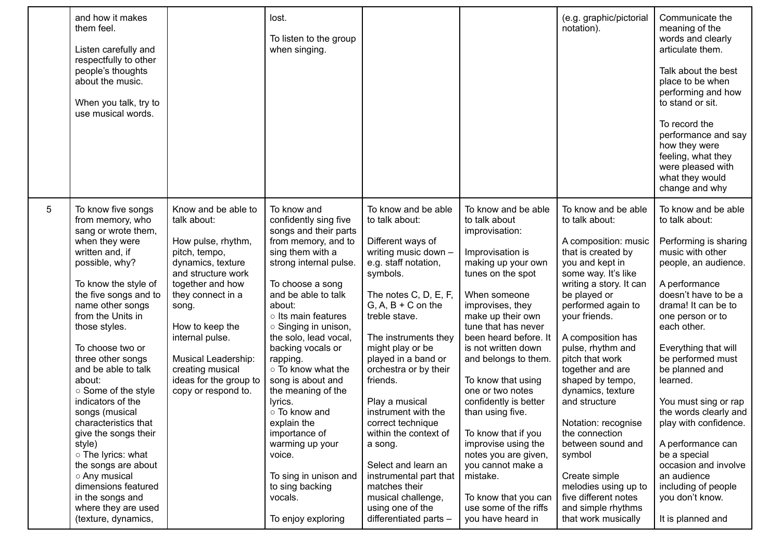|   | and how it makes<br>them feel.<br>Listen carefully and<br>respectfully to other<br>people's thoughts<br>about the music.<br>When you talk, try to<br>use musical words.                                                                                                                                                                                                                                                                                                                                                                                                                  |                                                                                                                                                                                                                                                                                                          | lost.<br>To listen to the group<br>when singing.                                                                                                                                                                                                                                                                                                                                                                                                                                                                                        |                                                                                                                                                                                                                                                                                                                                                                                                                                                                                                                                          |                                                                                                                                                                                                                                                                                                                                                                                                                                                                                                                                                   | (e.g. graphic/pictorial<br>notation).                                                                                                                                                                                                                                                                                                                                                                                                                                                                                                            | Communicate the<br>meaning of the<br>words and clearly<br>articulate them.<br>Talk about the best<br>place to be when<br>performing and how<br>to stand or sit.<br>To record the<br>performance and say<br>how they were<br>feeling, what they<br>were pleased with<br>what they would<br>change and why                                                                                                                                                                                                      |
|---|------------------------------------------------------------------------------------------------------------------------------------------------------------------------------------------------------------------------------------------------------------------------------------------------------------------------------------------------------------------------------------------------------------------------------------------------------------------------------------------------------------------------------------------------------------------------------------------|----------------------------------------------------------------------------------------------------------------------------------------------------------------------------------------------------------------------------------------------------------------------------------------------------------|-----------------------------------------------------------------------------------------------------------------------------------------------------------------------------------------------------------------------------------------------------------------------------------------------------------------------------------------------------------------------------------------------------------------------------------------------------------------------------------------------------------------------------------------|------------------------------------------------------------------------------------------------------------------------------------------------------------------------------------------------------------------------------------------------------------------------------------------------------------------------------------------------------------------------------------------------------------------------------------------------------------------------------------------------------------------------------------------|---------------------------------------------------------------------------------------------------------------------------------------------------------------------------------------------------------------------------------------------------------------------------------------------------------------------------------------------------------------------------------------------------------------------------------------------------------------------------------------------------------------------------------------------------|--------------------------------------------------------------------------------------------------------------------------------------------------------------------------------------------------------------------------------------------------------------------------------------------------------------------------------------------------------------------------------------------------------------------------------------------------------------------------------------------------------------------------------------------------|---------------------------------------------------------------------------------------------------------------------------------------------------------------------------------------------------------------------------------------------------------------------------------------------------------------------------------------------------------------------------------------------------------------------------------------------------------------------------------------------------------------|
| 5 | To know five songs<br>from memory, who<br>sang or wrote them,<br>when they were<br>written and, if<br>possible, why?<br>To know the style of<br>the five songs and to<br>name other songs<br>from the Units in<br>those styles.<br>To choose two or<br>three other songs<br>and be able to talk<br>about:<br>○ Some of the style<br>indicators of the<br>songs (musical<br>characteristics that<br>give the songs their<br>style)<br>o The lyrics: what<br>the songs are about<br>○ Any musical<br>dimensions featured<br>in the songs and<br>where they are used<br>(texture, dynamics, | Know and be able to<br>talk about:<br>How pulse, rhythm,<br>pitch, tempo,<br>dynamics, texture<br>and structure work<br>together and how<br>they connect in a<br>song.<br>How to keep the<br>internal pulse.<br>Musical Leadership:<br>creating musical<br>ideas for the group to<br>copy or respond to. | To know and<br>confidently sing five<br>songs and their parts<br>from memory, and to<br>sing them with a<br>strong internal pulse.<br>To choose a song<br>and be able to talk<br>about:<br>o Its main features<br>○ Singing in unison,<br>the solo, lead vocal,<br>backing vocals or<br>rapping.<br>○ To know what the<br>song is about and<br>the meaning of the<br>lyrics.<br>○ To know and<br>explain the<br>importance of<br>warming up your<br>voice.<br>To sing in unison and<br>to sing backing<br>vocals.<br>To enjoy exploring | To know and be able<br>to talk about:<br>Different ways of<br>writing music down -<br>e.g. staff notation,<br>symbols.<br>The notes C, D, E, F,<br>$G, A, B + C$ on the<br>treble stave.<br>The instruments they<br>might play or be<br>played in a band or<br>orchestra or by their<br>friends.<br>Play a musical<br>instrument with the<br>correct technique<br>within the context of<br>a song.<br>Select and learn an<br>instrumental part that<br>matches their<br>musical challenge,<br>using one of the<br>differentiated parts - | To know and be able<br>to talk about<br>improvisation:<br>Improvisation is<br>making up your own<br>tunes on the spot<br>When someone<br>improvises, they<br>make up their own<br>tune that has never<br>been heard before. It<br>is not written down<br>and belongs to them.<br>To know that using<br>one or two notes<br>confidently is better<br>than using five.<br>To know that if you<br>improvise using the<br>notes you are given,<br>you cannot make a<br>mistake.<br>To know that you can<br>use some of the riffs<br>you have heard in | To know and be able<br>to talk about:<br>A composition: music<br>that is created by<br>you and kept in<br>some way. It's like<br>writing a story. It can<br>be played or<br>performed again to<br>your friends.<br>A composition has<br>pulse, rhythm and<br>pitch that work<br>together and are<br>shaped by tempo,<br>dynamics, texture<br>and structure<br>Notation: recognise<br>the connection<br>between sound and<br>symbol<br>Create simple<br>melodies using up to<br>five different notes<br>and simple rhythms<br>that work musically | To know and be able<br>to talk about:<br>Performing is sharing<br>music with other<br>people, an audience.<br>A performance<br>doesn't have to be a<br>drama! It can be to<br>one person or to<br>each other.<br>Everything that will<br>be performed must<br>be planned and<br>learned.<br>You must sing or rap<br>the words clearly and<br>play with confidence.<br>A performance can<br>be a special<br>occasion and involve<br>an audience<br>including of people<br>you don't know.<br>It is planned and |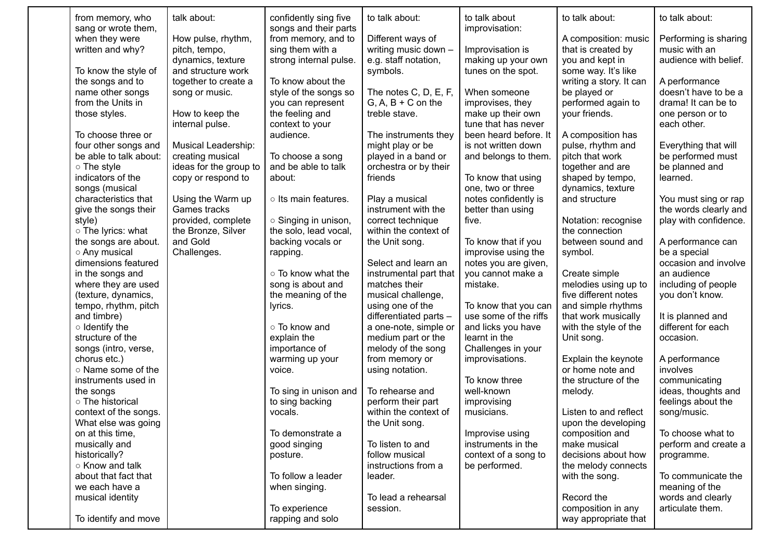| from memory, who<br>sang or wrote them, | talk about:            | confidently sing five<br>songs and their parts | to talk about:                          | to talk about<br>improvisation: | to talk about:                        | to talk about:                      |
|-----------------------------------------|------------------------|------------------------------------------------|-----------------------------------------|---------------------------------|---------------------------------------|-------------------------------------|
| when they were                          | How pulse, rhythm,     | from memory, and to                            | Different ways of                       |                                 | A composition: music                  | Performing is sharing               |
| written and why?                        | pitch, tempo,          | sing them with a                               | writing music down -                    | Improvisation is                | that is created by                    | music with an                       |
|                                         | dynamics, texture      | strong internal pulse.                         | e.g. staff notation,                    | making up your own              | you and kept in                       | audience with belief.               |
| To know the style of                    | and structure work     |                                                | symbols.                                | tunes on the spot.              | some way. It's like                   |                                     |
| the songs and to                        | together to create a   | To know about the                              |                                         |                                 | writing a story. It can               | A performance                       |
| name other songs                        | song or music.         | style of the songs so                          | The notes C, D, E, F,                   | When someone                    | be played or                          | doesn't have to be a                |
| from the Units in                       |                        | you can represent                              | $G, A, B + C$ on the                    | improvises, they                | performed again to                    | drama! It can be to                 |
| those styles.                           | How to keep the        | the feeling and                                | treble stave.                           | make up their own               | your friends.                         | one person or to                    |
|                                         | internal pulse.        | context to your                                |                                         | tune that has never             |                                       | each other.                         |
| To choose three or                      |                        | audience.                                      | The instruments they                    | been heard before. It           | A composition has                     |                                     |
| four other songs and                    | Musical Leadership:    |                                                | might play or be                        | is not written down             | pulse, rhythm and                     | Everything that will                |
| be able to talk about:                  | creating musical       | To choose a song                               | played in a band or                     | and belongs to them.            | pitch that work                       | be performed must                   |
| $\circ$ The style                       | ideas for the group to | and be able to talk                            | orchestra or by their                   |                                 | together and are                      | be planned and                      |
| indicators of the                       | copy or respond to     | about:                                         | friends                                 | To know that using              | shaped by tempo,                      | learned.                            |
| songs (musical                          |                        |                                                |                                         | one, two or three               | dynamics, texture                     |                                     |
| characteristics that                    | Using the Warm up      | o Its main features.                           | Play a musical                          | notes confidently is            | and structure                         | You must sing or rap                |
| give the songs their                    | Games tracks           |                                                | instrument with the                     | better than using               |                                       | the words clearly and               |
| style)                                  | provided, complete     | ○ Singing in unison,                           | correct technique                       | five.                           | Notation: recognise                   | play with confidence.               |
| o The lyrics: what                      | the Bronze, Silver     | the solo, lead vocal,                          | within the context of                   |                                 | the connection                        |                                     |
| the songs are about.                    | and Gold               | backing vocals or                              | the Unit song.                          | To know that if you             | between sound and                     | A performance can                   |
| ○ Any musical                           | Challenges.            | rapping.                                       |                                         | improvise using the             | symbol.                               | be a special                        |
| dimensions featured                     |                        | ○ To know what the                             | Select and learn an                     | notes you are given,            |                                       | occasion and involve<br>an audience |
| in the songs and<br>where they are used |                        |                                                | instrumental part that<br>matches their | you cannot make a<br>mistake.   | Create simple<br>melodies using up to | including of people                 |
| (texture, dynamics,                     |                        | song is about and<br>the meaning of the        | musical challenge,                      |                                 | five different notes                  | you don't know.                     |
| tempo, rhythm, pitch                    |                        | lyrics.                                        | using one of the                        | To know that you can            | and simple rhythms                    |                                     |
| and timbre)                             |                        |                                                | differentiated parts -                  | use some of the riffs           | that work musically                   | It is planned and                   |
| $\circ$ Identify the                    |                        | o To know and                                  | a one-note, simple or                   | and licks you have              | with the style of the                 | different for each                  |
| structure of the                        |                        | explain the                                    | medium part or the                      | learnt in the                   | Unit song.                            | occasion.                           |
| songs (intro, verse,                    |                        | importance of                                  | melody of the song                      | Challenges in your              |                                       |                                     |
| chorus etc.)                            |                        | warming up your                                | from memory or                          | improvisations.                 | Explain the keynote                   | A performance                       |
| o Name some of the                      |                        | voice.                                         | using notation.                         |                                 | or home note and                      | involves                            |
| instruments used in                     |                        |                                                |                                         | To know three                   | the structure of the                  | communicating                       |
| the songs                               |                        | To sing in unison and                          | To rehearse and                         | well-known                      | melody.                               | ideas, thoughts and                 |
| o The historical                        |                        | to sing backing                                | perform their part                      | improvising                     |                                       | feelings about the                  |
| context of the songs.                   |                        | vocals.                                        | within the context of                   | musicians.                      | Listen to and reflect                 | song/music.                         |
| What else was going                     |                        |                                                | the Unit song.                          |                                 | upon the developing                   |                                     |
| on at this time,                        |                        | To demonstrate a                               |                                         | Improvise using                 | composition and                       | To choose what to                   |
| musically and                           |                        | good singing                                   | To listen to and                        | instruments in the              | make musical                          | perform and create a                |
| historically?                           |                        | posture.                                       | follow musical                          | context of a song to            | decisions about how                   | programme.                          |
| ○ Know and talk                         |                        |                                                | instructions from a                     | be performed.                   | the melody connects                   |                                     |
| about that fact that                    |                        | To follow a leader                             | leader.                                 |                                 | with the song.                        | To communicate the                  |
| we each have a                          |                        | when singing.                                  |                                         |                                 |                                       | meaning of the                      |
| musical identity                        |                        |                                                | To lead a rehearsal                     |                                 | Record the                            | words and clearly                   |
|                                         |                        | To experience                                  | session.                                |                                 | composition in any                    | articulate them.                    |
| To identify and move                    |                        | rapping and solo                               |                                         |                                 | way appropriate that                  |                                     |